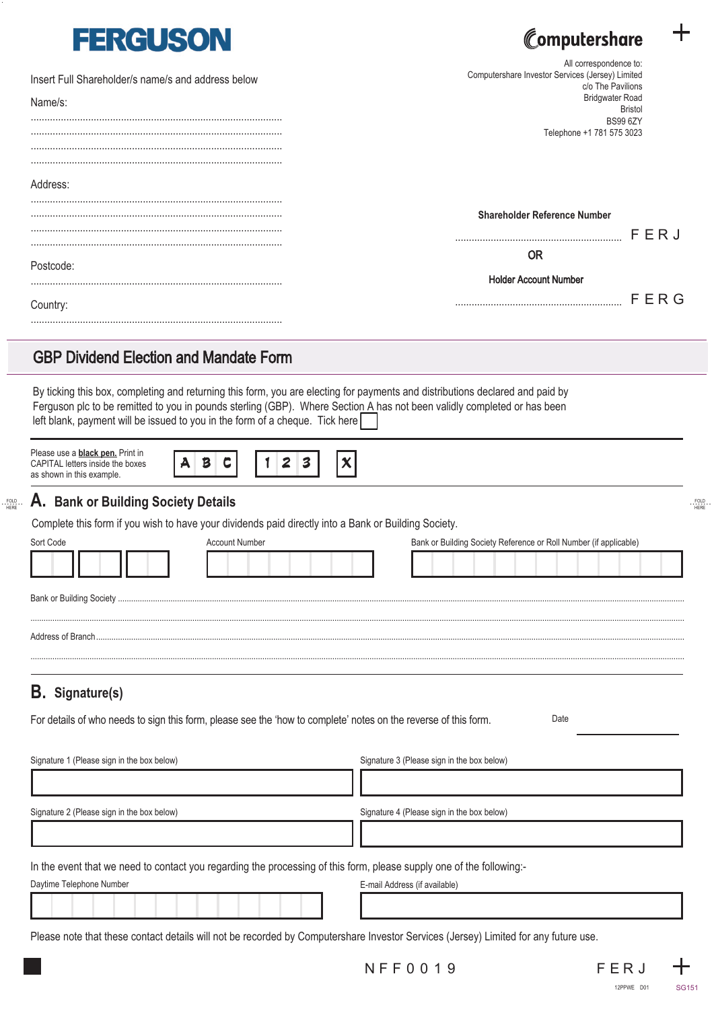| <b>FERGUSON</b>                                               | Computershare                                                                                                                               |  |
|---------------------------------------------------------------|---------------------------------------------------------------------------------------------------------------------------------------------|--|
| Insert Full Shareholder/s name/s and address below<br>Name/s: | All correspondence to:<br>Computershare Investor Services (Jersey) Limited<br>c/o The Pavilions<br><b>Bridgwater Road</b><br><b>Bristol</b> |  |
|                                                               | <b>BS99 6ZY</b><br>Telephone +1 781 575 3023                                                                                                |  |
| Address:                                                      |                                                                                                                                             |  |
|                                                               | <b>Shareholder Reference Number</b><br>FERJ                                                                                                 |  |
| Postcode:                                                     | <b>OR</b>                                                                                                                                   |  |
| Country:                                                      | <b>Holder Account Number</b><br>FERG                                                                                                        |  |
|                                                               |                                                                                                                                             |  |

### GBP Dividend Election and Mandate Form

By ticking this box, completing and returning this form, you are electing for payments and distributions declared and paid by Ferguson plc to be remitted to you in pounds sterling (GBP). Where Section A has not been validly completed or has been left blank, payment will be issued to you in the form of a cheque. Tick here

| Please use a <b>black pen.</b> Print in<br>CAPITAL letters inside the boxes<br>as shown in this example. |  |  |
|----------------------------------------------------------------------------------------------------------|--|--|
|                                                                                                          |  |  |

#### **A. Bank or Building Society Details**

Complete this form if you wish to have your dividends paid directly into a Bank or Building Society.

| Sort Code | Account Number | Bank or Building Society Reference or Roll Number (if applicable) |
|-----------|----------------|-------------------------------------------------------------------|
|           |                |                                                                   |
|           |                |                                                                   |
|           |                |                                                                   |
|           |                |                                                                   |

# **B. Signature(s)**

**........** FOLD HERE

For details of who needs to sign this form, please see the 'how to complete' notes on the reverse of this form.

Date

| Signature 1 (Please sign in the box below)                                                                           | Signature 3 (Please sign in the box below) |
|----------------------------------------------------------------------------------------------------------------------|--------------------------------------------|
|                                                                                                                      |                                            |
| Signature 2 (Please sign in the box below)                                                                           | Signature 4 (Please sign in the box below) |
|                                                                                                                      |                                            |
| In the event that we need to contact you regarding the processing of this form, please supply one of the following:- |                                            |
| Daytime Telephone Number                                                                                             | E-mail Address (if available)              |
|                                                                                                                      |                                            |

Please note that these contact details will not be recorded by Computershare Investor Services (Jersey) Limited for any future use.



**........** FOLD HERE